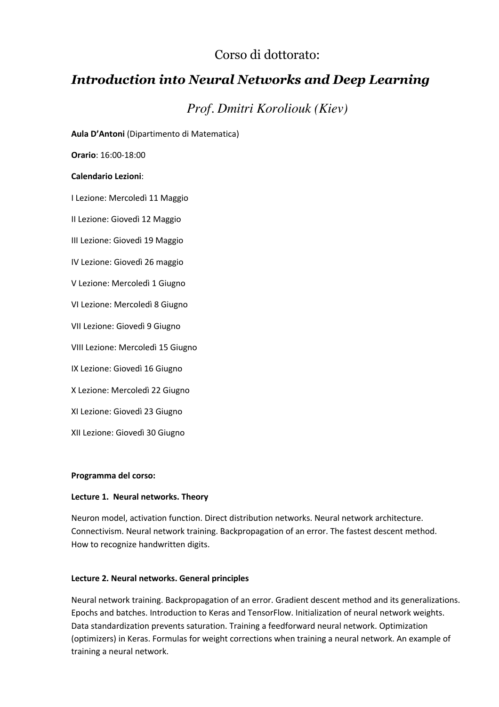# Corso di dottorato:

# *Introduction into Neural Networks and Deep Learning*

# *Prof. Dmitri Koroliouk (Kiev)*

**Aula D'Antoni** (Dipartimento di Matematica)

**Orario**: 16:00-18:00

#### **Calendario Lezioni**:

I Lezione: Mercoledì 11 Maggio

II Lezione: Giovedì 12 Maggio

III Lezione: Giovedì 19 Maggio

IV Lezione: Giovedì 26 maggio

V Lezione: Mercoledì 1 Giugno

VI Lezione: Mercoledì 8 Giugno

VII Lezione: Giovedì 9 Giugno

VIII Lezione: Mercoledì 15 Giugno

IX Lezione: Giovedì 16 Giugno

X Lezione: Mercoledì 22 Giugno

XI Lezione: Giovedì 23 Giugno

XII Lezione: Giovedì 30 Giugno

#### **Programma del corso:**

#### **Lecture 1. Neural networks. Theory**

Neuron model, activation function. Direct distribution networks. Neural network architecture. Connectivism. Neural network training. Backpropagation of an error. The fastest descent method. How to recognize handwritten digits.

#### **Lecture 2. Neural networks. General principles**

Neural network training. Backpropagation of an error. Gradient descent method and its generalizations. Epochs and batches. Introduction to Keras and TensorFlow. Initialization of neural network weights. Data standardization prevents saturation. Training a feedforward neural network. Optimization (optimizers) in Keras. Formulas for weight corrections when training a neural network. An example of training a neural network.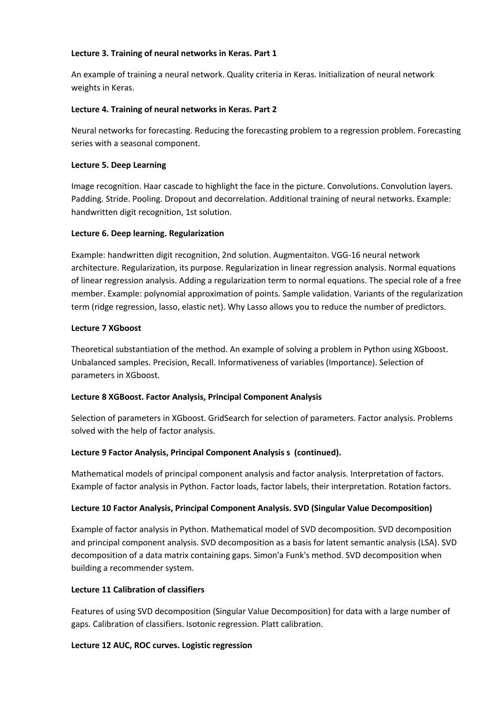## **Lecture 3. Training of neural networks in Keras. Part 1**

An example of training a neural network. Quality criteria in Keras. Initialization of neural network weights in Keras.

## **Lecture 4. Training of neural networks in Keras. Part 2**

Neural networks for forecasting. Reducing the forecasting problem to a regression problem. Forecasting series with a seasonal component.

### **Lecture 5. Deep Learning**

Image recognition. Haar cascade to highlight the face in the picture. Convolutions. Convolution layers. Padding. Stride. Pooling. Dropout and decorrelation. Additional training of neural networks. Example: handwritten digit recognition, 1st solution.

### **Lecture 6. Deep learning. Regularization**

Example: handwritten digit recognition, 2nd solution. Augmentaiton. VGG-16 neural network architecture. Regularization, its purpose. Regularization in linear regression analysis. Normal equations of linear regression analysis. Adding a regularization term to normal equations. The special role of a free member. Example: polynomial approximation of points. Sample validation. Variants of the regularization term (ridge regression, lasso, elastic net). Why Lasso allows you to reduce the number of predictors.

### **Lecture 7 XGboost**

Theoretical substantiation of the method. An example of solving a problem in Python using XGboost. Unbalanced samples. Precision, Recall. Informativeness of variables (Importance). Selection of parameters in XGboost.

# **Lecture 8 XGBoost. Factor Analysis, Principal Component Analysis**

Selection of parameters in XGboost. GridSearch for selection of parameters. Factor analysis. Problems solved with the help of factor analysis.

# **Lecture 9 Factor Analysis, Principal Component Analysis s (continued).**

Mathematical models of principal component analysis and factor analysis. Interpretation of factors. Example of factor analysis in Python. Factor loads, factor labels, their interpretation. Rotation factors.

# **Lecture 10 Factor Analysis, Principal Component Analysis. SVD (Singular Value Decomposition)**

Example of factor analysis in Python. Mathematical model of SVD decomposition. SVD decomposition and principal component analysis. SVD decomposition as a basis for latent semantic analysis (LSA). SVD decomposition of a data matrix containing gaps. Simon'a Funk's method. SVD decomposition when building a recommender system.

# **Lecture 11 Calibration of classifiers**

Features of using SVD decomposition (Singular Value Decomposition) for data with a large number of gaps. Calibration of classifiers. Isotonic regression. Platt calibration.

#### **Lecture 12 AUC, ROC curves. Logistic regression**